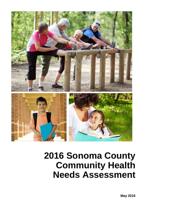

# **2016 Sonoma County Community Health Needs Assessment**

**May 2016**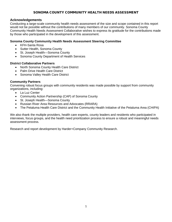# SONOMA COUNTY COMMUNITY HEALTH NEEDS ASSESSMENT

# **Acknowledgements**

Conducting a large-scale community health needs assessment of the size and scope contained in this report would not be possible without the contributions of many members of our community. Sonoma County Community Health Needs Assessment Collaborative wishes to express its gratitude for the contributions made by those who participated in the development of this assessment.

# **Sonoma County Community Health Needs Assessment Steering Committee**

- KFH-Santa Rosa
- Sutter Health, Sonoma County
- St. Joseph Health—Sonoma County
- Sonoma County Department of Health Services

### **District Collaborative Partners**

- North Sonoma County Health Care District
- **Palm Drive Health Care District**
- Sonoma Valley Health Care District

## **Community Partners**

Convening robust focus groups with community residents was made possible by support from community organizations, including:

- La Luz Center
- Community Action Partnership (CAP) of Sonoma County
- St. Joseph Health—Sonoma County
- Russian River Area Resources and Advocates (RRARA)
- The Petaluma Health Care District and the Community Health Initiative of the Petaluma Area (CHIPA)

We also thank the multiple providers, health care experts, county leaders and residents who participated in interviews, focus groups, and the health need prioritization process to ensure a robust and meaningful needs assessment process.

Research and report development by Harder+Company Community Research.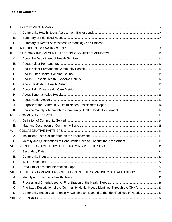# **Table of Contents**

| $\mathbf{I}$ . |                                                                                        |  |
|----------------|----------------------------------------------------------------------------------------|--|
| Α.             |                                                                                        |  |
| В.             |                                                                                        |  |
| C.             |                                                                                        |  |
| Ш.             |                                                                                        |  |
| III.           |                                                                                        |  |
| Α.             |                                                                                        |  |
| В.             |                                                                                        |  |
| C.             |                                                                                        |  |
| D.             |                                                                                        |  |
| Ε.             |                                                                                        |  |
| F.             |                                                                                        |  |
| G.             |                                                                                        |  |
| Η.             |                                                                                        |  |
| T.             |                                                                                        |  |
| J.             |                                                                                        |  |
| K.             |                                                                                        |  |
| IV.            |                                                                                        |  |
| Α.             |                                                                                        |  |
| В.             |                                                                                        |  |
| V.             |                                                                                        |  |
| Α.             |                                                                                        |  |
| <b>B.</b>      |                                                                                        |  |
| VI.            |                                                                                        |  |
| A.             |                                                                                        |  |
| В.             |                                                                                        |  |
| C.             |                                                                                        |  |
| D.             |                                                                                        |  |
| VII.           | IDENTIFICATION AND PRIORITIZATION OF THE COMMUNITY'S HEALTH NEEDS 23                   |  |
| Α.             |                                                                                        |  |
| В.             |                                                                                        |  |
| C.             | Prioritized Description of the Community Health Needs Identified Through the CHNA27    |  |
| D.             | Community Resources Potentially Available to Respond to the Identified Health Needs 31 |  |
| VIII.          |                                                                                        |  |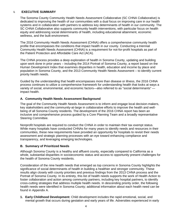### <span id="page-4-0"></span>**I. EXECUTIVE SUMMARY**

The Sonoma County Community Health Needs Assessment Collaborative (SC CHNA Collaborative) is dedicated to improving the health of our communities with a dual focus on improving care in our health systems and in collaboration with partners to address key determinants of health in our community. The SC CHNA Collaborative also supports community health interventions, with particular focus on health equity and addressing social determinants of health, including educational attainment, economic wellness, and the built environment.

The 2016 Community Health Needs Assessment (CHNA) offers a comprehensive community health profile that encompasses the conditions that impact health in our county. Conducting a triennial Community Health Needs Assessment (CHNA) is a requirement for not-for-profit hospitals as part of the Patient Protection and Affordable Care Act (ACA).

The CHNA process provides a deep exploration of health in Sonoma County, updating and building upon work done in prior years – including the 2014 Portrait of Sonoma County, a report based on the Human Development Index that examines disparities in health, education and income by place and population in Sonoma County, and the 2013 Community Health Needs Assessment – to identify current priority health needs.

Guided by the understanding that health encompasses more than disease or illness, the 2016 CHNA process continues to utilize a comprehensive framework for understanding health that looks at ways a variety of social, environmental, and economic factors—also referred to as "social determinants" impact health.

### <span id="page-4-1"></span>**A. Community Health Needs Assessment Background**

The goal of the Community Health Needs Assessment is to inform and engage local decision-makers, key stakeholders and the community-at-large in collaborative efforts to improve the health and wellbeing of all Sonoma County residents. The development of the 2016 CHNA report has been an inclusive and comprehensive process guided by a Core Planning Team and a broadly representative Steering Committee.

Nonprofit hospitals are required to conduct the CHNA in order to maintain their tax exempt status. While many hospitals have conducted CHNAs for many years to identify needs and resources in their communities, these new requirements have provided an opportunity for hospitals to revisit their needs assessment and strategic planning processes with an eye toward enhancing compliance and transparency, and leveraging emerging technologies.

#### <span id="page-4-2"></span>**B. Summary of Prioritized Needs**

Although Sonoma County is a healthy and affluent county, especially compared to California as a whole, substantial disparities in socioeconomic status and access to opportunity present challenges for the health of Sonoma County residents.

Consideration of the nine health needs that emerged as top concerns in Sonoma County highlights the significance of social determinants of health in building a healthier and stronger community. These results align closely with county priorities and previous findings from the 2013 CHNA process and the Portrait of Sonoma County. In its entirety, this list of health needs supports the work of Health Action to foster collaboration and action among community partners, including key hospital partners, to identify cross-cutting strategies that address multiple health needs. In descending priority order, the following health needs were identified in Sonoma County; additional information about each health need can be found in Appendix A.

**1. Early Childhood Development:** Child development includes the rapid emotional, social, and mental growth that occurs during gestation and early years of life. Adversities experienced in early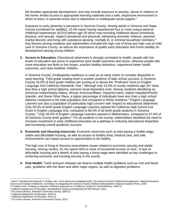life threaten appropriate development, and may include exposure to poverty; abuse or violence in the home; limited access to appropriate learning materials and a safe, responsive environment in which to learn; or parental stress due to depression or inadequate social support.<sup>[1](#page-5-0)</sup>

Exposure to early adversity is pervasive in Sonoma County. Among adults in Sonoma and Napa County (combined for stability), 22.0% report having experienced four or more unique adverse childhood experiences (ACEs) before age 18 which may including childhood abuse (emotional, physical, and sexual), neglect (emotional and physical), witnessing domestic violence, parental marital discord, and living with substance abusing, mentally ill, or criminal household members.<sup>[2](#page-5-1)</sup> Key themes among residents and stakeholders included the high cost of living and high cost of child care in Sonoma County, as well as the importance of quality early education and home stability on development among young children.

**2. Access to Education:** Educational attainment is strongly correlated to health: people with low levels of education are prone to experience poor health outcomes and stress, whereas people with more education are likely to live longer, practice healthy behaviors, experience better health outcomes, and raise healthier children.

In Sonoma County, Kindergarten readiness is used as an early metric to consider disparities in early learning. Third grade reading level is another predictor of later school success; in Sonoma County 43.0% of third grade children are scoring at or above the "Proficient" level on English Language Arts California Standards Test.<sup>[3](#page-5-2)</sup> Although only 13.0% of county residents age 25+ have less than a high school diploma, extreme racial disparities exist. Among residents identifying as American Indian/Alaska Native, African American/Black, Hispanic/Latino, Native Hawaiian/Pacific Islander, and Some Other Race, a higher percentage of individuals have less than a high school diploma compared to the total population and compared to White residents.[4](#page-5-3) English Language Learners are also a population of particularly high concern with respect to educational attainment. Only 39.0% of tenth grade English Language Learners passed the California High School Exit Exam in English Language Arts, compared to 86.0% of all tenth grade students in Sonoma County. [5](#page-5-4) Only 55.0% of English Language Learners passed in Mathematics, compared to 87.0% of all Sonoma County tenth graders. $6$  For all students in the county, stakeholders identified the need to increase investment in early childhood education as a pathway to reducing educational disparities and increasing overall academic success.

**3. Economic and Housing Insecurity:** Economic resources such as jobs paying a livable wage, stable and affordable housing, as well as access to healthy food, medical care, and safe environments can impact access to opportunities to be healthy.

The high cost of living in Sonoma exacerbates issues related to economic security and stable housing. Among renters, 52.4% spend 30% or more of household income on rent.<sup>[7](#page-5-6)</sup> A lack of affordable housing and a dearth of jobs paying a living wage were identified as key challenges to achieving economic and housing security in the county.

**4. Oral Health:** Tooth and gum disease can lead to multiple health problems such as oral and facial pain, problems with the heart and other major organs, as well as digestion problems.

l

<span id="page-5-0"></span><sup>1</sup> Jack P. Shonkoff and Deborah A. Phillips, eds.,"From Neurons to Neighborhoods: The Science of Early Childhood Development," National Research Council and Institute of Medicine, Committee on Integrating the Science of Early Childhood Development, National Academy Press, 2000.

<span id="page-5-1"></span><sup>&</sup>lt;sup>2</sup> A Hidden Crisis: Findings on Adverse Childhood Experiences in California, Center for Youth Wellness, 2008-13.

<span id="page-5-2"></span><sup>&</sup>lt;sup>3</sup> California Department of Education, Standardized Testing and Reporting (STAR) Results, 2013.

<span id="page-5-3"></span><sup>4</sup> US Census Bureau, American Community Survey, 2009-13.

<span id="page-5-4"></span><sup>5</sup> California Department of Education, 2013-14.

<span id="page-5-5"></span><sup>6</sup> California Department of Education, 2013-14.

<span id="page-5-6"></span><sup>7</sup> US Census Bureau, American Community Survey, 2014.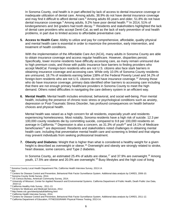In Sonoma County, oral health is in part affected by lack of access to dental insurance coverage or inadequate utilization of dental care. Among adults, 38.9% do not have dental insurance coverage and may find it difficult to afford dental care.<sup>[8](#page-6-0)</sup> Among adults 65 years and older, 51.8% do not have dental insurance coverage.<sup>[9](#page-6-1)</sup> Among adults, 9.2% have poor dental health.<sup>[10](#page-6-2)</sup> In 2014, 51% of kindergarteners and 3rd graders had tooth decay.<sup>[11](#page-6-3)</sup> Residents and stakeholders highlighted the lack of dental care providers who accept Denti-Cal, as well as the lack of early prevention of oral health problems, in part due to limited access to affordable preventative care.

**5. Access to Health Care:** Ability to utilize and pay for comprehensive, affordable, quality physical and mental health care is essential in order to maximize the prevention, early intervention, and treatment of health conditions.

With the implementation of the Affordable Care Act (ACA), many adults in Sonoma County are able to obtain insurance coverage and access regular healthcare. However, disparities persist. Specifically, lower income residents have difficulty accessing care, as many remain uninsured due to high premium costs, and those with public insurance face barriers to finding providers who accept MediCal. Foreign-born residents who are not U.S. citizens also face stark barriers in obtaining insurance coverage and accessing care. While only 10.0% of Sonoma County residents are uninsured, 18.7% of residents earning below 138% of the Federal Poverty Level and 34.2% of foreign-born residents who are not U.S. citizens do not have insurance coverage.<sup>[12](#page-6-4)</sup> Among those who do have insurance coverage, primary data identified other barriers to accessing care including that there are not enough primary healthcare providers in Sonoma County to meet the high demand. Others noted difficulties in navigating the care delivery system in an efficient way.

**6. Mental Health:** Mental health includes emotional, behavioral, and social well-being. Poor mental health, including the presence of chronic toxic stress or psychological conditions such as anxiety, depression or Post-Traumatic Stress Disorder, has profound consequences on health behavior choices and physical health.

Mental health was raised as a high concern for all residents, especially youth and residents experiencing homelessness. Most notably, Sonoma residents have a high risk of suicide. 12.3 per 100,000 county residents die by committing suicide, compared to 9.8 per 100,000 residents on average in California.<sup>[13](#page-6-5)</sup> Depression is also a concern, as 31.3% of youth<sup>[14](#page-6-6)</sup> and 14.1% of Medicare beneficiaries<sup>[15](#page-6-7)</sup> are depressed. Residents and stakeholders noted challenges in obtaining mental health care, including that preventative mental health care and screening is limited and that stigma may prevent individuals from seeking professional treatment.

**7. Obesity and Diabetes:** Weight that is higher than what is considered a healthy weight for a given height is described as overweight or obese.<sup>[16](#page-6-8)</sup> Overweight and obesity are strongly related to stroke, heart disease, some cancers, and Type 2 diabetes.

In Sonoma County, an estimated 25.4% of adults are obese,<sup>[17](#page-6-9)</sup> and 37.9% are overweight.<sup>[18](#page-6-10)</sup> Among youth, 17.5% are obese and 20.0% are overweight.<sup>[19](#page-6-11)</sup> Busy lifestyles and the high cost of living

<span id="page-6-0"></span><sup>&</sup>lt;sup>8</sup> Sonoma County Local Health Department File, California Health Interview Survey, 2013-14.  $9$  Ibid.  $\overline{\phantom{a}}$ 

<span id="page-6-2"></span><span id="page-6-1"></span><sup>&</sup>lt;sup>10</sup> Centers for Disease Control and Prevention, Behavioral Risk Factor Surveillance System. Additional data analysis by CARES, 2006-10.

<span id="page-6-3"></span><sup>&</sup>lt;sup>11</sup> Sonoma County Smile Survey, 2014.

<span id="page-6-4"></span><sup>12</sup> US Census Bureau, American Community Survey, 2014.

<span id="page-6-5"></span><sup>&</sup>lt;sup>13</sup> University of Missouri, Center for Applied Research and Environmental Systems. California Department of Public Health, Death Public Use Data, 2010-12.

<span id="page-6-6"></span><sup>14</sup> California Healthy Kids Survey , 2011-13.

<span id="page-6-7"></span><sup>&</sup>lt;sup>15</sup> Centers for Medicare and Medicaid Services, 2012.

<span id="page-6-8"></span><sup>16</sup> <http://www.cdc.gov/obesity/adult/defining.html>

<span id="page-6-9"></span><sup>17</sup> California Health Interview Survey, 2014.

<span id="page-6-10"></span><sup>18</sup> Centers for Disease Control and Prevention, Behavioral Risk Factor Surveillance System. Additional data analysis by CARES, 2011-12.

<span id="page-6-11"></span><sup>19</sup> California Department of Education, FITNESSGRAM® Physical Fitness Testing, 2013-14.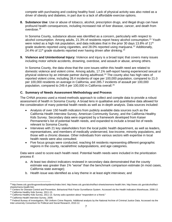compete with purchasing and cooking healthy food. Lack of physical activity was also noted as a driver of obesity and diabetes, in part due to a lack of affordable exercise options.

**8. Substance Use**: Use or abuse of tobacco, alcohol, prescription drugs, and illegal drugs can have profound health consequences, including increased risk of liver disease, cancer, and death from overdose.[20](#page-7-1)

In Sonoma County, substance abuse was identified as a concern, particularly with respect to alcohol consumption. Among adults, [21](#page-7-2).3% of residents report heavy alcohol consumption.<sup>21</sup> Youth were noted as a high risk population, and data indicates that in the prior 30 days 13.8% of 11<sup>th</sup> grade students reported using cigarettes, and 28.0% reported using marijuana.<sup>[22](#page-7-3)</sup> Additionally, 24.4% of 11<sup>th</sup> grade students reported ever having driven after drinking.<sup>[23](#page-7-4)</sup>

**9. Violence and Unintentional Injury:** Violence and injury is a broad topic that covers many issues including motor vehicle accidents, drowning, overdose, and assault or abuse, among others.

In Sonoma County, the data show that the core issues within this health need are related to domestic violence and violent crime. Among adults, 17.1% self-report having experienced sexual or physical violence by an intimate partner during adulthood.<sup>[24](#page-7-5)</sup> The county also has high rates of reported violent crime, including 28.4 incidents of rape per 100,000 population, compared to 21.0 per 100,000 residents on average in California, and 285.7 incidents of assault per 100,000 population, compared to 249.4 per 100,000 in California overall.<sup>[25](#page-7-6)</sup>

### <span id="page-7-0"></span>**C. Summary of Needs Assessment Methodology and Process**

The CHNA process used a mixed-methods approach to collect and compile data to provide a robust assessment of health in Sonoma County. A broad lens in qualitative and quantitative data allowed for the consideration of many potential health needs as well as in-depth analysis. Data sources included:

- Analysis of over 150 health indicators from publicly available data sources such as the California Health Interview Survey, American Community Survey, and the California Healthy Kids Survey. Secondary data were organized by a framework developed from Kaiser Permanente's list of potential health needs, and expanded to include a broad list of needs relevant to Sonoma County.
- Interviews with 21 key stakeholders from the local public health department, as well as leaders, representatives, and members of medically underserved, low-income, minority populations, and those with a chronic disease. Other individuals from various sectors with expertise in local health needs were also consulted.
- Five focus groups were conducted, reaching 64 residents representing different geographic regions in the county, racial/ethnic subpopulations, and age categories.

Data were used to score each health need. Potential health needs were included in the prioritization process if:

- a. At least two distinct indicators reviewed in secondary data demonstrated that the county estimate was greater than 1% "worse" than the benchmark comparison estimate (in most cases, California state average);
- b. Health issue was identified as a key theme in at least eight interviews; and

<span id="page-7-3"></span><sup>22</sup> California Healthy Kids Survey, 2011-13.

<span id="page-7-1"></span><sup>20</sup> [http://www.cdc.gov/drugoverdose/epidemic/index.html;](http://www.cdc.gov/drugoverdose/epidemic/index.html) [http://www.cdc.gov/alcohol/fact-sheets/womens-health.htm;](http://www.cdc.gov/alcohol/fact-sheets/womens-health.htm) http://www.cdc.gov/alcohol/factsheets/mens-health.htm l

<span id="page-7-2"></span><sup>&</sup>lt;sup>21</sup> Centers for Disease Control and Prevention, Behavioral Risk Factor Surveillance System. Accessed via the Health Indicators Warehouse, 2006-12.

<span id="page-7-4"></span><sup>&</sup>lt;sup>23</sup> California Healthy Kids Survey, 2011-13. Survey asks question about "respondent or a friend."

<span id="page-7-5"></span><sup>24</sup> California Health Interview Survey, 2009.

<span id="page-7-6"></span><sup>&</sup>lt;sup>25</sup> Federal Bureau of Investigation, FBI Uniform Crime Reports. Additional analysis by the National Archive of Criminal Justice Data. Accessed via the Inter-university Consortium for Political and Social Research, 2010-12.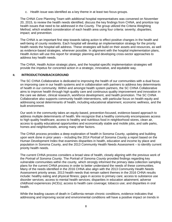c. Health issue was identified as a key theme in at least two focus groups.

The CHNA Core Planning Team with additional hospital representatives was convened on November 20, 2015, to review the health needs identified, discuss the key findings from CHNA, and prioritize top health issues that need to be addressed in the County. The group utilized the Criteria Weighting Method, which enabled consideration of each health area using four criteria: severity; disparities; impact; and prevention.

The CHNA is an important first step towards taking action to effect positive changes in the health and well-being of county residents. Each hospital will develop an implementation strategy for the priority health needs the hospital will address. These strategies will build on their assets and resources, as well as evidence-based strategies, wherever possible. In alignment with the hospital implementation plans, Health Action will use this report for strategic planning and developing cross-sector approaches to address key health needs.

The CHNA, Health Action strategic plans, and the hospital-specific implementation strategies will provide the impetus for concerted action in a strategic, innovative, and equitable way.

## <span id="page-8-0"></span>**II. INTRODUCTION/BACKGROUND**

The SC CHNA Collaborative is dedicated to improving the health of our communities with a dual focus on improving care in our health systems and in collaboration with partners to address key determinants of health in our community. Within and amongst health system partners, the SC CHNA Collaborative aims to improve health through high quality care and continuous quality improvement and innovation in the care we deliver, clinical research, workforce development, and health promotion. The SC CHNA Collaborative also supports community health interventions, with particular focus on health equity and addressing social determinants of health, including educational attainment, economic wellness, and the built environment.

Our work in the community takes an equity-based, prevention-focused, evidence-based approach to address multiple determinants of health. We recognize that a healthy community encompasses access to high quality healthcare, access to healthy and nutritious food in neighborhood stores, clean air, access to quality educational opportunities and economically stable and mobile jobs, and safe parks, homes and neighborhoods, among many other factors.

The CHNA process provides a deep exploration of health in Sonoma County, updating and building upon work done in prior years – including the 2014 *Portrait of Sonoma County*, a report based on the Human Development Index that examines disparities in health, education and income by place and population in Sonoma County, and the 2013 Community Health Needs Assessment – to identify current priority health needs.

The current CHNA process considers a broad view of health, closely aligning with the previous work of the *Portrait of Sonoma County*. The *Portrait of Sonoma County* provided findings regarding key vulnerable communities within the county, which strongly informed the primary data collection sampling plans for the current CHNA process in order to better understand the needs of these communities. Many of the needs identified in the 2016 CHNA also align with the 2013 Community Health Needs Assessment priority areas. 2013 health needs that remain salient themes in the 2016 CHNA results include: healthy eating and physical fitness; gaps in access to primary care; access to substance use disorder services; access to mental health services; disparities in education attainment; adverse childhood experiences (ACEs); access to health care coverage; tobacco use; and disparities in oral health.

While the leading causes of death in California remain chronic conditions, evidence indicates that addressing and improving social and environmental conditions will have a positive impact on trends in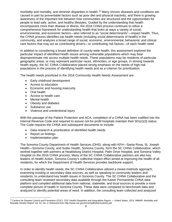morbidity and mortality, and diminish disparities in health.<sup>[26](#page-9-0)</sup> Many chronic diseases and conditions are caused in part by preventable factors such as poor diet and physical inactivity, and there is growing awareness of the important link between how communities are structured and the opportunities for people to lead safe, active, and healthy lifestyles. Guided by the understanding that health encompasses more than disease or illness, the 2016 CHNA process continues to utilize a comprehensive framework for understanding health that looks at ways a variety of social, environmental, and economic factors—also referred to as "social determinants"—impact health. Thus, the CHNA process identifies top health needs (including social determinants of health) in the community, and analyzes a broad range of social, economic, environmental, behavioral, and clinical care factors that may act as contributing drivers—or contributing risk factors—of each health need.

In addition to considering a broad definition of county-wide health, this assessment explored the particular impact of identified health issues among vulnerable populations which may bear disproportionate risk across multiple health needs. These populations may be residents of particular geographic areas, or may represent particular races, ethnicities, or age groups. In striving towards health equity, the SC CHNA Collaborative placed strong emphasis on the needs of high-risk populations in the process of identifying health needs and as a criterion for prioritization.

The health needs prioritized in the 2016 Community Health Needs Assessment are:

- Early childhood development
- Access to education
- Economic and housing insecurity
- Oral health
- Access to health care
- Mental health
- Obesity and diabetes
- Substance use
- Violence and unintentional injury

With the passage of the Patient Protection and ACA, completion of a CHNA has been codified into the Internal Revenue Code and required to assure not-for-profit hospitals maintain their 501(c)(3) status. The Code requires the CHNA and subsequent documents to include:

- Data research & prioritization of identified health needs
- Report on findings
- Implementation plan

The Sonoma County Department of Health Services (DHS), along with KFH—Santa Rosa, St. Joseph Health—Sonoma County, and Sutter Health, Sonoma County, form the SC CHNA Collaborative, which worked together with partners at Healdsburg District Hospital, Palm Drive Hospital, and Sonoma Valley Hospital on the 2016 CHNA process. Many of the SC CHNA Collaborative partners are also key leaders of Health Action, Sonoma County's collective impact effort aimed at improving the health of all residents, for which the Department of Health Services provides backbone support.

In order to identify health needs, the SC CHNA Collaborative utilized a mixed-methods approach, examining existing or secondary data sources, as well as speaking to community leaders and residents, to understand key health issues in Sonoma County. The SC CHNA Collaborative and the consulting team reviewed secondary data available through the Kaiser Permanente CHNA data platform and compiled additional data from national, statewide, and local sources to provide a more complete picture of health in Sonoma County. These data were compared to benchmark data and analyzed to identify potential areas of need. In addition, the consulting team collected and analyzed

<span id="page-9-0"></span><sup>&</sup>lt;sup>26</sup> Centers for Disease Control and Prevention (CDC). CDC Health Disparities and Inequalities Report — United States, 2013. MMWR. Morbidity and Mortality Weekly Report Vol. 62, No. 3. Retrieved from http://www.cdc.gov/mmwr/pdf/other/su6203.pdf. l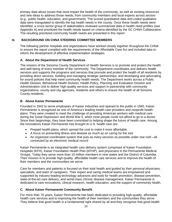primary data about issues that most impact the health of the community, as well as existing resources and new ideas to address those needs, from community members and local experts across sectors (e.g., public health, education, and government). The scored quantitative data and coded qualitative data were triangulated to identify the top health needs in the county. Once these health needs were identified, a cross-sector group of stakeholders reviewed summarized data in health need profiles (see Appendix A) and prioritized the health needs based on criteria identified by the SC CHNA Collaborative. The resulting prioritized community health needs are presented in this report.

# <span id="page-10-0"></span>**III. BACKGROUND ON CHNA STEERING COMMITTEE MEMBERS**

The following partner hospitals and organizations have worked closely together throughout the CHNA to ensure the report complied with the requirements of the Affordable Care Act and included data to inform the development of effective implementation strategies.

# <span id="page-10-1"></span>**A. About the Department of Health Services**

The mission of the Sonoma County Department of Health Services is to promote and protect the health and well-being of every member of the community. The Department coordinates and delivers health services and supports the programs and services that promote and protect the health of all residents by providing direct services, building and managing strategic partnerships, and developing and advocating for sound policies that help meet community health needs. The Department works across a Public Health Division, Behavioral Health Division, Health Policy, Planning and Evaluation Division and Administration Unit to deliver high-quality services and support in partnership with community organizations, county and city agencies, residents and others to ensure the health of all Sonoma County residents.

# <span id="page-10-2"></span>**B. About Kaiser Permanente**

Founded in 1942 to serve employees of Kaiser Industries and opened to the public in 1945, Kaiser Permanente is recognized as one of America's leading health care providers and nonprofit health plans. They were created to meet the challenge of providing American workers with medical care during the Great Depression and World War II, when most people could not afford to go to a doctor. Since their beginnings, they have been committed to helping shape the future of health care. Among the innovations Kaiser Permanente has brought to U.S. health care are:

- Prepaid health plans, which spread the cost to make it more affordable
- A focus on preventing illness and disease as much as on caring for the sick
- An organized coordinated system that puts as many services as possible under one roof—all connected by an electronic medical record

Kaiser Permanente is an integrated health care delivery system comprised of Kaiser Foundation Hospitals (KFH), Kaiser Foundation Health Plan (KFHP), and physicians in the Permanente Medical Groups. Today they serve more than 10 million members in nine states and the District of Columbia. Their mission is to provide high-quality, affordable health care services and to improve the health of their members and the communities we serve.

Care for members and patients is focused on their total health and guided by their personal physicians, specialists, and team of caregivers. Their expert and caring medical teams are empowered and supported by industry-leading technology advances and tools for health promotion, disease prevention, state-of-the-art care delivery, and world-class chronic disease management. Kaiser Permanente is dedicated to care innovations, clinical research, health education, and the support of community health.

# <span id="page-10-3"></span>**C. About Kaiser Permanente Community Benefit**

For more than 70 years, Kaiser Permanente has been dedicated to providing high-quality, affordable health care services and to improving the health of their members and the communities they serve. They believe that good health is a fundamental right shared by all and they recognize that good health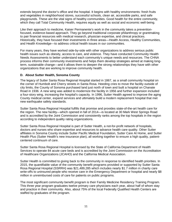extends beyond the doctor's office and the hospital. It begins with healthy environments: fresh fruits and vegetables in neighborhood stores, successful schools, clean air, accessible parks, and safe playgrounds. These are the vital signs of healthy communities. Good health for the entire community, which they call Total Community Health, requires equity as well as social and economic well-being.

Like their approach to medicine, Kaiser Permanente's work in the community takes a preventionfocused, evidence-based approach. They go beyond traditional corporate philanthropy or grantmaking to pair financial resources with medical research, physician expertise, and clinical practices. Historically, they have focused their investments in three areas—Health Access, Healthy Communities, and Health Knowledge—to address critical health issues in our communities.

For many years, they have worked side-by-side with other organizations to address serious public health issues such as obesity, access to care, and violence. They have conducted Community Health Needs Assessments to better understand each community's unique needs and resources. The CHNA process informs their community investments and helps them develop strategies aimed at making longterm, sustainable change—and it allows them to deepen the strong relationships they have with other organizations that are working to improve community health.

## <span id="page-11-0"></span>**D. About Sutter Health, Sonoma County**

The legacy of Sutter Santa Rosa Regional Hospital started in 1867, as a small community hospital on the corner of Humbolt and Cherry streets in Santa Rosa. Heeding cries to move the facility outside of city limits, the County of Sonoma purchased land just north of town and built a hospital on Chanate Road in 1936. A new wing was added to modernize the facility in 1956 and further expansion included a four-story wing, increasing the hospital's capacity. In 1996, Sutter Health agreed to improve the aging County medical center, expand services and ultimately build a modern replacement hospital that met new earthquake safety standards.

Sutter Santa Rosa Regional Hospital fulfills that promise and provides state-of-the-art health care for the region. The new facility—which opened in fall of 2014—is located at 30 Mark West Springs Road and is accredited by the Joint Commission and consistently ranks among the top hospitals in the region according to independent quality rating organizations.

Sutter Santa Rosa Regional Hospital is part of Sutter Health, a not-for-profit network of hospitals, doctors and nurses who share expertise and resources to advance health care quality. Other Sutter affiliates in Sonoma County include Sutter Pacific Medical Foundation, Sutter Care At Home, and Sutter Health Plus (Sutter Health's new insurance plan), all working together to ensure a high quality, patientcentered continuum of care.

Sutter Santa Rosa Regional Hospital is licensed by the State of California Department of Health Services to operate 84 acute care beds and is accredited by the Joint Commission on the Accreditation of Healthcare Organizations (JCAHO) and the California Medical Association.

Sutter Health is committed to giving back to the community in response to identified health priorities. In 2015, the quantifiable value of the community benefit programs provided or supported by Sutter Santa Rosa Regional Hospital (SSRRH) was \$21,489,285 which includes nearly \$1.7 million in charity care write-offs to uninsured people who receive care in the Emergency Department or hospital and nearly \$8 million in unreimbursed costs of care for patients on public programs.

The most significant community benefit program is their Family Medicine Residency Training Program. This three year program graduates twelve primary care physicians each year, about half of whom stay and practice in their community. Also, about 75% of the local Federally Qualified Health Centers are staffed by graduates of the program.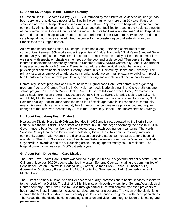# <span id="page-12-0"></span>**E. About St. Joseph Health—Sonoma County**

St. Joseph Health—Sonoma County (SJH—SC), founded by the Sisters of St. Joseph of Orange, has been serving the healthcare needs of families in the community for more than 60 years. Part of a statewide network of hospitals and clinics known as SJH—SC operates two hospitals, urgent care and community clinics, hospice, home health services, and other facilities for treating the healthcare needs of the community in Sonoma County and the region. Its core facilities are Petaluma Valley Hospital, an 80—bed acute care hospital, and Santa Rosa Memorial Hospital (SRM), a full service 289—bed acute care hospital that includes a Level II trauma center for the coastal region that extends from San Francisco to the Oregon border.

As a values-based organization, St. Joseph Health has a long—standing commitment to the communities it serves. SJH works under the premise of "Value Standards." SJH Value Standard Seven (Community Benefit) states: "We commit resources to improving the quality of life in the communities we serve, with special emphasis on the needs of the poor and underserved." Ten percent of the net income is dedicated to community benefit. In Sonoma County, SRM's Community Benefit Department integrates actions through Strategic Elements that address the political, social, behavioral and physiological determinants of health: Healthy Communities, Community Health and Advocacy. The primary strategies employed to address community needs are community capacity building, improving health outcomes for vulnerable populations, and reducing social isolation of special populations.

Community Benefit programs and clinics include: Neighborhood Care Staff community organizing program, Agents of Change Training in Our Neighborhoods leadership training, Circle of Sisters afterschool program, St. Joseph Mobile Health Clinic, House Calls/Home Sweet Home, Promotores de Salud health promotion program, St. Joseph Dental Clinic, Cultivando la Salud Mobile Dental Clinic, and Mighty Mouth dental disease prevention program. Given the changing context for its work, SJH, Petaluma Valley Hospital anticipates the need for a flexible approach in its response to community needs. For example, certain community health needs may become more pronounced and require changes to the initiatives identified by SRM in the Community Benefit Plan/Implementation Strategy.

# <span id="page-12-1"></span>**F. About Healdsburg Health District**

Healdsburg District Hospital (HDH) was founded in 1905 and is now operated by the North Sonoma County Healthcare District. The district was formed in 2001 and began operating the hospital in 2002. Governance is by a five-member, publicly elected board, each serving four-year terms. The North Sonoma County Healthcare District and Healdsburg District Hospital continue to enjoy immense community support, with voters in the district twice approving parcel tax measures to fund hospital operations. The North Sonoma County Healthcare District is mainly comprised of Windsor, Healdsburg, Geyserville, Cloverdale and the surrounding areas, totaling approximately 60,000 residents. The hospital currently serves over 10,000 patients a year.

# <span id="page-12-2"></span>**G. About Palm Drive Health Care District**

The Palm Drive Health Care District was formed in April 2000 and is a government entity of the State of California. It serves 50,000 people who live in western Sonoma County, including the communities of: Sebastopol, Graton, Forestville, Bodega Bay, Carmet, Salmon Creek, Jenner, Duncan's Mills, Guerneville, Occidental, Freestone, Rio Nido, Monte Rio, Guernewood Park, Summerhome, and Mirabel Park.

The District's primary mission is to deliver access to quality, compassionate health services responsive to the needs of the District. The district fulfills this mission through ownership of Sonoma West Medical Center (formerly Palm Drive Hospital), and through partnerships with community-based providers of health and wellness information, classes, services, and other programs. The vision of the district is to improve the health of our diverse west county populations through engagement with these populations. The values that the district holds in pursuing its mission and vision are integrity, leadership, caring and perseverance.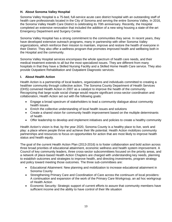## <span id="page-13-0"></span>**H. About Sonoma Valley Hospital**

Sonoma Valley Hospital is a 75-bed, full-service acute care district hospital with an outstanding staff of health care professionals located in the City of Sonoma and serving the entire Sonoma Valley. In 2016, the Sonoma Valley Health Care District is celebrating its 70th anniversary. Recently, the Hospital completed an extensive renovation that included the addition of a new wing housing a state-of-the-art Emergency Department and Surgery Center.

Sonoma Valley Hospital has a strong commitment to the communities they serve. In recent years, they have developed extensive outreach programs, many in partnership with other Sonoma Valley organizations, which reinforce their mission to maintain, improve and restore the health of everyone in their District. They also offer a wellness program that promotes improved health and wellbeing both in the Hospital and the community.

Sonoma Valley Hospital services encompass the whole spectrum of health care needs, and their medical treatment extends to all but the most specialized issues. They are different from many hospitals in that they have a Skilled Nursing Facility and a Skilled Home Health Care service. They also provide Outpatient Rehabilitation and Outpatient Diagnostic services.

## <span id="page-13-1"></span>**I. About Health Action**

Health Action is a partnership of local leaders, organizations and individuals committed to creating a healthier community through collective action. The Sonoma County Department of Health Services (DHS) convened Health Action in 2007 as a catalyst to improve the health of the community. Recognizing that large-scale social change would require significant cross-sector coordination and collaboration, Health Action set out with the following goals:

- Engage a broad spectrum of stakeholders to lead a community dialogue about community health issues
- Enrich the collective understanding of local health issues and solutions
- Create a shared vision for community health improvement based on the multiple determinants of health
- Offer leadership to develop and implement initiatives and policies to create a healthy community

Health Action's vision is that, by the year 2020, Sonoma County is a healthy place to live, work and play: a place where people thrive and achieve their life potential. Health Action mobilizes community partnerships and resources to focus on opportunities for action that are most likely to improve health status and health equity.

The goal of the current Health Action [Plan \(2013-2016\)](http://www.sonomahealthaction.org/sites/default/files/images/u6/HealthActionPlan%208_31_12_low%20res.pdf) is to foster collaboration and bold action across three broad priorities of educational attainment, economic wellness and health system improvement. A Council of key community leaders, three cross-sector subcommittees focused on the priority areas, and a network of place-based Health Action Chapters are charged with understanding key needs, planning to establish outcomes and strategies to improve health, and directing investments, program strategy and policy toward meeting those outcomes. The three sub-committees are:

- Educational Attainment: New planning and mobilization to increase educational attainment in Sonoma County
- Strengthening Primary Care and Coordination of Care across the continuum of local providers: A continuation and expansion of the work of the Primary Care Workgroup, an ad hoc workgroup of Health Action
- Economic Security: Strategic support of current efforts to assure that community members have sufficient income and the ability to have control of their life situation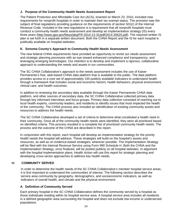# <span id="page-14-0"></span>**J. Purpose of the Community Health Needs Assessment Report**

The Patient Protection and Affordable Care Act (ACA), enacted on March 23, 2010, included new requirements for nonprofit hospitals in order to maintain their tax exempt status. The provision was the subject of final regulations providing guidance on the requirements of section 501(r) of the Internal Revenue Code. Included in the new regulations is a requirement that all nonprofit hospitals must conduct a community health needs assessment and develop an implementation strategy (IS) every three years [\(http://www.gpo.gov/fdsys/pkg/FR-2014-12-31/pdf/2014-30525.pdf\)](http://www.gpo.gov/fdsys/pkg/FR-2014-12-31/pdf/2014-30525.pdf). The required written IS plan is set forth in a separate written document. Both the CHNA Report and the IS for each hospital is publically available on hospital websites.

# <span id="page-14-1"></span>**K. Sonoma County's Approach to Community Health Needs Assessment**

The new federal CHNA requirements have provided an opportunity to revisit our needs assessment and strategic planning processes with an eye toward enhanced compliance and transparency, and leveraging emerging technologies. Our intention is to develop and implement a rigorous, collaborative approach to understanding the needs and assets in our communities.

The SC CHNA Collaborative's approach to the needs assessment includes the use of Kaiser Permanente's free, web-based CHNA data platform that is available to the public. The data platform provides access to a core set of approximately 150 publicly available indicators to understand health through a framework that includes social and economic factors; health behaviors; physical environment; clinical care; and health outcomes.

In addition to reviewing the secondary data available through the Kaiser Permanente CHNA data platform, and other sources of secondary data, the SC CHNA Collaborative collected primary data through key informant interviews and focus groups. Primary data collection consisted of reaching out to local health experts, community leaders, and residents to identify issues that most impacted the health of the community. The CHNA process also included an identification of existing community assets and resources to address the health needs.

The SC CHNA Collaborative developed a set of criteria to determine what constituted a health need in their community. Once all of the community health needs were identified, they were all prioritized based on identified criteria. This process resulted in a complete list of prioritized community health needs. The process and the outcome of the CHNA are described in this report.

In conjunction with this report, each hospital will develop an implementation strategy for the priority health needs the hospital will address. These strategies will build on the hospital's assets and resources, as well as on evidence-based strategies, wherever possible. The Implementation Strategy will be filed with the Internal Revenue Service using Form 990 Schedule H. Both the CHNA and the Implementation Strategy, once finalized, will be posted publicly on all hospital websites. In alignment with the hospital implementation plans, Health Action will use this report for strategic planning and developing cross-sector approaches to address key health needs.

# <span id="page-14-2"></span>**IV. COMMUNITY SERVED**

In order to determine the health needs of the SC CHNA Collaborative's member hospital service areas, it is first important to understand the communities of interest. The following section describes the service area community by geography, demographics, and socioeconomic indicators, as well as indicators of overall health, and climate and the physical environment.

# <span id="page-14-3"></span>**A. Definition of Community Served**

Each primary hospital in the SC CHNA Collaborative defines the community served by a hospital as those individuals residing within its hospital service area. A hospital service area includes all residents in a defined geographic area surrounding the hospital and does not exclude low-income or underserved populations.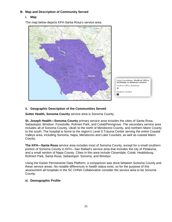# <span id="page-15-0"></span>**B. Map and Description of Community Served**

# **i. Map**

The map below depicts KFH-Santa Rosa's service area.



# **ii. Geographic Description of the Communities Served**

**Sutter Health, Sonoma County** service area is Sonoma County.

**St. Joseph Health—Sonoma County** primary service area includes the cities of Santa Rosa, Sebastopol, Windsor, Forestville, Rohnert Park, and Cotati/Penngrove. The secondary service area includes all of Sonoma County, Ukiah to the north of Mendocino County, and northern Marin County to the south. The hospital is home to the region's Level II Trauma Center serving the entire Coastal Valleys area, including Sonoma, Napa, Mendocino and Lake Counties, as well as coastal Marin County.

**The KFH—Santa Rosa** service area includes most of Sonoma County, except for a small southern portion of Sonoma County in KFH—San Rafael's service area that includes the city of Petaluma, and a small section of Napa County. Cities in this area include Cloverdale, Cotati, Healdsburg, Rohnert Park, Santa Rosa, Sebastopol, Sonoma, and Windsor.

Using the Kaiser Permanente Data Platform, a comparison was done between Sonoma County and these service areas. No notable differences in health status exist, so for the purpose of this assessment all hospitals in the SC CHNA Collaborative consider the service area to be Sonoma County.

### **iii. Demographic Profile**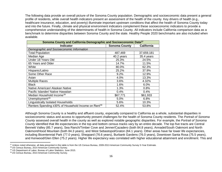<span id="page-16-3"></span><span id="page-16-2"></span><span id="page-16-1"></span><span id="page-16-0"></span>The following data provide an overall picture of the Sonoma County population. Demographic and socioeconomic data present a general profile of residents, while overall health indicators present an assessment of the health of the county. Key drivers of health (e.g., healthcare insurance, education, and poverty) illuminate important upstream conditions that affect the health of Sonoma County today and into the future. Finally, climate and physical environment indicators complement these socioeconomic indicators to provide a comprehensive understanding of the determinants of health in Sonoma County. All indicators include California comparison data as a benchmark to determine disparities between Sonoma County and the state. Healthy People 2020 benchmarks are also included when available.

| Sonoma County and California Demographic and Socioeconomic Data <sup>27</sup> |                      |            |  |  |
|-------------------------------------------------------------------------------|----------------------|------------|--|--|
| <b>Indicator</b>                                                              | <b>Sonoma County</b> | California |  |  |
| Demographic and Socioeconomic Information                                     |                      |            |  |  |
| <b>Total Population</b>                                                       | 487,469              | 37,659,181 |  |  |
| Median Age                                                                    | 40.2 years           | 35.4 years |  |  |
| Under 18 Years Old                                                            | 25.3%                | 24.5%      |  |  |
| 65 Years and Older                                                            | 14.7%                | 11.5%      |  |  |
| White                                                                         | 80.0%                | 62.3%      |  |  |
| Hispanic/Latino                                                               | 25.2%                | 37.9%      |  |  |
| Some Other Race                                                               | 9.2%                 | 12.9%      |  |  |
| Asian                                                                         | 4.0%                 | 13.3%      |  |  |
| <b>Multiple Races</b>                                                         | 3.6%                 | 4.32%      |  |  |
| <b>Black</b>                                                                  | 1.6%                 | 6.0%       |  |  |
| Native American/ Alaskan Native                                               | 1.3%                 | 0.8%       |  |  |
| Pacific Islander/ Native Hawaiian                                             | 0.4%                 | 0.4%       |  |  |
| Median Household Income <sup>28</sup>                                         | \$67,771             | \$61,933   |  |  |
| Unemployment <sup>29</sup>                                                    | 5.0%                 | 6.8%       |  |  |
| Linguistically Isolated Households                                            | 5.6%                 | 10.3%      |  |  |
| Renters Spending ≥30% of Household Income on Rent <sup>30</sup>               | 52.4%                | 53.8%      |  |  |

Although Sonoma County is a healthy and affluent county, especially compared to California as a whole, substantial disparities in socioeconomic status and access to opportunity present challenges for the health of Sonoma County residents. The *Portrait of Sonoma County* assessed overall health in the county as well as explored notable geographic disparities. For example, the *Portrait of Sonoma County* identified that life expectancies in the top and bottom census tracks vary by an entire decade. The top five tracts are Central Bennett Valley (85.7 years), Sea Ranch/Timber Cove and Jenner/Cazadero (both 84.8 years), Annadel/South Oakmont and North Oakmont/Hood Mountain (both 84.3 years), and West Sebastopol/Graton (84.1 years). Other areas have far lower life expectancies, including Bicentennial Park (77.0 years), Sheppard (76.6 years), Burbank Gardens (76.0 years), Downtown Santa Rosa (75.5 years), and Kenwood/Glen Ellen (75.2 years). Higher life expectancy was correlated with higher educational attainment and enrollment. This and

l

<sup>&</sup>lt;sup>27</sup> Unless noted otherwise, all data presented in this table is from the US Census Bureau, 2009-2013 American Community Survey 5-Year Estimate. <sup>28</sup> US Census Bureau, 2014 American Community Survey.

<sup>29</sup> US Department of Labor, Bureau of Labor Statistics, June 2015.

<sup>30</sup> US Census Bureau, 2014 American Community Survey.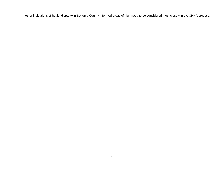other indications of health disparity in Sonoma County informed areas of high need to be considered most closely in the CHNA process.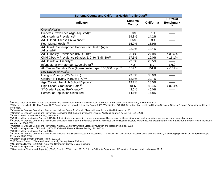<span id="page-18-15"></span><span id="page-18-14"></span><span id="page-18-13"></span><span id="page-18-12"></span><span id="page-18-11"></span><span id="page-18-10"></span><span id="page-18-9"></span><span id="page-18-8"></span><span id="page-18-7"></span><span id="page-18-6"></span><span id="page-18-5"></span><span id="page-18-4"></span><span id="page-18-3"></span><span id="page-18-2"></span><span id="page-18-1"></span><span id="page-18-0"></span>

| Sonoma County and California Health Profile Data <sup>31</sup>                 |                  |                   |                                          |  |
|--------------------------------------------------------------------------------|------------------|-------------------|------------------------------------------|--|
| <b>Indicator</b>                                                               | Sonoma<br>County | <b>California</b> | <b>HP 2020</b><br><b>Benchmark</b><br>32 |  |
| <b>Overall Health</b>                                                          |                  |                   |                                          |  |
| Diabetes Prevalence (Age-Adjusted) <sup>33</sup>                               | 6.0%             | 8.1%              |                                          |  |
| Adult Asthma Prevalence <sup>34</sup>                                          | 19.8%            | 14.2%             |                                          |  |
| Adult Heart Disease Prevalence <sup>35</sup>                                   | 7.6%             | 6.3%              |                                          |  |
| Poor Mental Health <sup>36</sup>                                               | 15.2%            | 15.9%             |                                          |  |
| Adults with Self-Reported Poor or Fair Health (Age-<br>Adjusted) <sup>37</sup> | 22.0%            | 18.4%             |                                          |  |
| Adult Obesity Prevalence (BMI $>$ 30) <sup>38</sup>                            | 25.4%            | 27.0%             | ≤ 30.5%                                  |  |
| Child Obesity Prevalence (Grades 5, 7, 9) (BMI>30) <sup>39</sup>               | 17.5%            | 19.0%             | ≤ 16.1%                                  |  |
| Adults with a Disability <sup>40</sup>                                         | 29.6%            | 28.5%             |                                          |  |
| Infant Mortality Rate (per 1,000 births) <sup>41</sup>                         | 4.2              | 5.0               | $\leq 6.0$                               |  |
| All-Cancer Mortality Rate (Age-Adjusted) (per 100,000 pop.) <sup>42</sup>      | 159.1            | 151.0             | $\leq$ 161.4                             |  |
| <b>Key Drivers of Health</b>                                                   |                  |                   |                                          |  |
| Living in Poverty (<200% FPL)                                                  | 29.3%            | 35.9%             |                                          |  |
| Children in Poverty (<100% FPL) <sup>43</sup>                                  | 12.8%            | 22.7%             |                                          |  |
| Age 25+ with No High School Diploma <sup>44</sup>                              | 13.2%            | 18.5%             |                                          |  |
| High School Graduation Rate <sup>45</sup>                                      | 81.6             | 80.4%             | $\geq 82.4\%$                            |  |
| 3rd Grade Reading Proficiency <sup>46</sup>                                    | 43.0%            | 45.0%             |                                          |  |
| Percent of Population Uninsured                                                | 14.1%            | 17.8%             |                                          |  |

l

<sup>&</sup>lt;sup>31</sup> Unless noted otherwise, all data presented in this table is from the US Census Bureau, 2009-2013 American Community Survey 5-Year Estimate.<br><sup>32</sup> Whenever available, Healthy People 2020 Benchmarks are provided. Healthy Promotion.<br><sup>33</sup> Centers for Disease Control and Prevention, National Center for Chronic Disease Prevention and Health Promotion, 2012.

<sup>&</sup>lt;sup>34</sup> Centers for Disease Control and Prevention, Behavioral Risk Factor Surveillance System. Additional analysis by CARES, 2011-2012.

<sup>35</sup> California Health Interview Survey, 2011-2012.

<sup>36</sup> California Health Interview Survey, 2013-2014; Indicator is adults needing to see a professional because of problems with mental health, emotions, nerves, or use of alcohol or drugs.

<sup>&</sup>lt;sup>37</sup> Centers for Disease Control and Prevention, Behavioral Risk Factor Surveillance System. Accessed via the Health Indicators Warehouse. US Department of Health & Human Services, Health Indicators<br>Warehouse. 2006-2012.

<sup>38</sup> Centers for Disease Control and Prevention, National Center for Chronic Disease Prevention and Health Promotion, 2012.

<sup>39</sup> California Department of Education, FITNESSGRAM® Physical Fitness Testing, 2013-2014.

<sup>40</sup> California Health Interview Survey, 2014.

<sup>&</sup>lt;sup>41</sup> Centers for Disease Control and Prevention, National Vital Statistics System. Accessed via CDC WONDER. Centers for Disease Control and Prevention, Wide-Ranging Online Data for Epidemiologic<br>Research, 2006-2010.

<sup>&</sup>lt;sup>42</sup> California Department of Public Health, 2011-13.

<sup>43</sup> US Census Bureau, 2014 American Community Survey 1-Year Estimate.

<sup>&</sup>lt;sup>44</sup> US Census Bureau, 2010-2014 American Community Survey 5-Year Estimate.<br><sup>45</sup> California Department of Education, 2013.

<sup>&</sup>lt;sup>46</sup> Standardized Testing and Reporting (STAR) Results, 2010-11 and 2012-13, from California Department of Education, Accessed via kidsdata.org, 2013.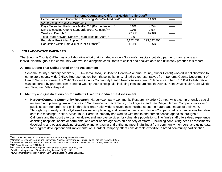<span id="page-19-9"></span><span id="page-19-8"></span><span id="page-19-7"></span><span id="page-19-6"></span><span id="page-19-5"></span><span id="page-19-4"></span><span id="page-19-3"></span>

| Sonoma County and California Health Profile Data <sup>31</sup>                         |           |             |  |  |
|----------------------------------------------------------------------------------------|-----------|-------------|--|--|
| Percent of Insured Population Receiving Medi-Cal/Medicaid <sup>47</sup>                | 18.2%     | 14.0%       |  |  |
| <b>Climate and Physical Environment</b>                                                |           |             |  |  |
| Days Exceeding Particulate Matter 2.5 (Pop. Adjusted) <sup>48</sup><br>$4.2\%$<br>5.6% |           |             |  |  |
| Days Exceeding Ozone Standards (Pop. Adjusted) <sup>49</sup>                           | $0.0\%$   | 2.5%        |  |  |
| Weeks in Drought <sup>50</sup>                                                         | 92.7%     | 92.8%       |  |  |
| Total Road Network Density (Road Miles per Acre) <sup>51</sup>                         | 1.9       | 4.3         |  |  |
| Pounds of Pesticides Applied <sup>52</sup>                                             | 2,172,032 | 193,597,806 |  |  |
| Population within Half Mile of Public Transit <sup>53</sup>                            | 12.1%     | 15.5%       |  |  |

#### **V. COLLABORATIVE PARTNERS**

The Sonoma County CHNA was a collaborative effort that included not only Sonoma's hospitals but also partner organizations and individuals throughout the community who worked alongside consultants to collect and analyze data and ultimately produce this report.

#### **A. Institutions That Collaborated on the Assessment**

Sonoma County's primary hospitals (KFH—Santa Rosa, St. Joseph Health—Sonoma County, Sutter Health) worked in collaboration to complete a county-wide CHNA. Representatives from these institutions, joined by representatives from Sonoma County Department of Health Services, formed the 2016 Sonoma County Community Health Needs Assessment Collaborative. The SC CHNA Collaborative was supported by partners from Sonoma County District Hospitals, including Healdsburg Health District, Palm Drive Health Care District, and Sonoma Valley Hospital.

#### <span id="page-19-0"></span>**B. Identity and Qualifications of Consultants Used to Conduct the Assessment**

• **Harder+Company Community Research:** Harder+Company Community Research (Harder+Company) is a comprehensive social research and planning firm with offices in San Francisco, Sacramento, Los Angeles, and San Diego. Harder+Company works with public sector, nonprofit, and philanthropic clients nationwide to reveal new insights about the nature and impact of their work. Through high-quality, culturally-based evaluation, planning, and consulting services, Harder+Company helps organizations translate data into meaningful action. Since 1986, Harder+Company has worked with health and human service agencies throughout California and the country to plan, evaluate, and improve services for vulnerable populations. The firm's staff offers deep experience assisting hospitals, health departments, and other health agencies on a variety of efforts – including conducting needs assessments; developing and operationalizing strategic plans; engaging and gathering meaningful input from community members; and using data for program development and implementation. Harder+Company offers considerable expertise in broad community participation

<span id="page-19-1"></span><sup>47</sup> US Census Bureau, 2014 American Community Survey 1-Year Estimate.  $\overline{\phantom{a}}$ 

<sup>48</sup> Centers for Disease Control and Prevention, National Environmental Public Health Tracking Network, 2008.

<sup>49</sup> Centers for Disease Control and Prevention, National Environmental Public Health Tracking Network, 2008.

<span id="page-19-2"></span> $50$  US Drought Monitor, 2012-2014.<br> $51$  Environmental Protection Agency, EPA Smart Location Database. 2011.

<sup>51</sup> Environmental Protection Agency, EPA Smart Location Database, 2011. 52 California Department of Pesticide Regulation (CDPR), 2013. 53 Environmental Protection Agency, EPA Smart Location Database, 2011.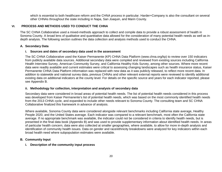which is essential to both healthcare reform and the CHNA process in particular. Harder+Company is also the consultant on several other CHNAs throughout the state including in Napa, San Joaquin, and Marin County.

#### **VI. PROCESS AND METHODS USED TO CONDUCT THE CHNA**

The SC CHNA Collaborative used a mixed-methods approach to collect and compile data to provide a robust assessment of health in Sonoma County. A broad lens of qualitative and quantitative data allowed for the consideration of many potential health needs as well as indepth analysis. The following section outlines the data collection and analysis methods used to conduct the CHNA.

#### **A. Secondary Data**

#### **i. Sources and dates of secondary data used in the assessment**

The SC CHNA Collaborative used the Kaiser Permanente (KP) CHNA Data Platform [\(www.chna.org/kp\)](http://www.chna.org/kp) to review over 150 indicators from publicly available data sources. Additional secondary data were compiled and reviewed from existing sources including California Health Interview Survey, American Community Survey, and California Healthy Kids Survey, among other sources. Where more recent data were readily available and current estimates were critical to assessing changing landscapes such as health insurance status, Kaiser Permanente CHNA Data Platform information was replaced with new data as it was publicly released, to reflect more recent data. In addition to statewide and national survey data, previous CHNAs and other relevant external reports were reviewed to identify additional existing data on additional indicators at the county level. For details on the specific source and years for each indicator reported, please see Appendix B.

#### <span id="page-20-0"></span>**ii. Methodology for collection, interpretation and analysis of secondary data**

<span id="page-20-1"></span>Secondary data were considered in broad areas of potential health needs. The list of potential health needs considered in this process was developed from Kaiser Permanente's list of potential health needs, which was based on the most commonly identified health needs from the 2013 CHNA cycle, and expanded to include other needs relevant to Sonoma County. The consulting team and SC CHNA Collaborative finalized this framework in advance of analysis.

Where available, Sonoma County data were considered alongside relevant benchmarks including California state average, Healthy People 2020, and the United States average. Each indicator was compared to a relevant benchmark, most often the California state average. If no appropriate benchmark was available, the indicator could not be considered in criteria to identify health needs, but is presented in the final data book (Appendix B) and was used to provide supplementary information about identified health needs. In areas of particular health concern, data were also collected at smaller geographies, where available, to allow for more in-depth analysis and identification of community health issues. Data on gender and race/ethnicity breakdowns were analyzed for key indicators within each broad health need where subpopulation estimates were available.

#### **B. Community Input**

#### <span id="page-20-2"></span>**i. Description of the community input process**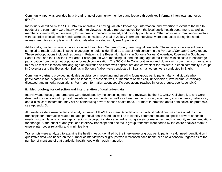Community input was provided by a broad range of community members and leaders through key informant interviews and focus groups.

Individuals identified by the SC CHNA Collaborative as having valuable knowledge, information, and expertise relevant to the health needs of the community were interviewed. Interviewees included representatives from the local public health department, as well as members of medically underserved, low-income, chronically diseased, and minority populations. Other individuals from various sectors with expertise of local health needs were also consulted. A total of 21 key informant interviews were conducted during this needs assessment. For a complete list of individuals who provided input, see Appendix C.

Additionally, five focus groups were conducted throughout Sonoma County, reaching 64 residents. These groups were intentionally sampled to reach residents in specific geographic regions identified as areas of high concern in the *Portrait of Sonoma County* report. These subpopulations included residents in Petaluma, the Boyes Hot Springs in Sonoma Valley, Cloverdale, Roseland in Southwest Santa Rosa, and the Russian River area. Focus groups were monolingual, and the language of facilitation was selected to encourage participation from the target population for each conversation. The SC CHNA Collaborative worked closely with community organizations to ensure that the location and language of facilitation selected was appropriate and convenient for residents in each community. Groups in Cloverdale and the Boyes Hot Springs in Sonoma Valley were conducted in Spanish; all others were conducted in English.

Community partners provided invaluable assistance in recruiting and enrolling focus group participants. Many individuals who participated in focus groups identified as leaders, representatives, or members of medically underserved, low-income, chronically diseased, and minority populations. For more information about specific populations reached in focus groups, see Appendix C.

#### **ii. Methodology for collection and interpretation of qualitative data**

Interview and focus group protocols were developed by the consulting team and reviewed by the SC CHNA Collaborative, and were designed to inquire about top health needs in the community, as well as a broad range of social, economic, environmental, behavioral, and clinical care factors that may act as contributing drivers of each health need. For more information about data collection protocols, see Appendix D.

All qualitative data were coded and analyzed using ATLAS.ti software. A codebook with robust definitions was developed to code transcripts for information related to each potential health need, as well as to identify comments related to specific drivers of health needs, subpopulations or geographic regions disproportionately affected, existing assets or resources, and community recommendations for change. At the onset of analysis, one interview transcript and one focus group transcript were coded by the entire analysis team to ensure inter-coder reliability and minimize bias.

Transcripts were analyzed to examine the health needs identified by the interviewee or group participants. Health need identification in qualitative data was based on the number of interviewees or groups who referenced each health need as a concern, regardless of the number of mentions of that particular health need within each transcript.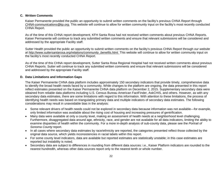#### **C. Written Comments**

Kaiser Permanente provided the public an opportunity to submit written comments on the facility's previous CHNA Report through *CHNA-communications@kp.org.* This website will continue to allow for written community input on the facility's most recently conducted CHNA Report.

As of the time of this CHNA report development, KFH Santa Rosa had not received written comments about previous CHNA Reports. Kaiser Permanente will continue to track any submitted written comments and ensure that relevant submissions will be considered and addressed by the appropriate Facility staff.

Sutter Health provided the public an opportunity to submit written comments on the facility's previous CHNA Report through *our website*  at http://www.suttersantarosa.org/relations/community\_benefits.html. This website will continue to allow for written community input on the facility's most recently conducted CHNA Report.

As of the time of this CHNA report development, Sutter Santa Rosa Regional Hospital had not received written comments about previous CHNA Reports. Sutter will continue to track any submitted written comments and ensure that relevant submissions will be considered and addressed by the appropriate Facility staff.

#### <span id="page-22-0"></span>**D. Data Limitations and Information Gaps**

The Kaiser Permanente CHNA data platform includes approximately 150 secondary indicators that provide timely, comprehensive data to identify the broad health needs faced by a community. While changes to the platform are ongoing, the data presented in this report reflect estimates presented on the Kaiser Permanente CHNA data platform on December 2, 2015. Supplementary secondary data were obtained from reliable data platforms including U.S. Census Bureau American FactFinder, AskCHIS, and others. However, as with any secondary data estimates, there are some limitations with regard to this information. With attention to these limitations, the process of identifying health needs was based on triangulating primary data and multiple indicators of secondary data estimates. The following considerations may result in unavoidable bias in the analysis:

- Some relevant drivers of health needs could not be explored in secondary data because information was not available—for example, only limited information was available about the rising cost of housing and increasing pressures of gentrification.
- Many data were available at only a county level, making an assessment of health needs at a neighborhood level challenging. Furthermore, disaggregated data around age, ethnicity, race, and gender are not available for all data indicators, limiting the ability to examine disparities of health within the community. For a more in-depth analysis of sub-county data, please see the *Portrait of Sonoma County* report.
- <span id="page-22-1"></span>• In all cases where secondary data estimates by race/ethnicity are reported, the categories presented reflect those collected by the original data source, which yields inconsistencies in racial labels within this report.
- For some county level indicators, data are available but reported estimates are statistically unstable; in this case estimates are reported but instability is noted.
- Secondary data are subject to differences in rounding from different data sources: i.e., Kaiser Platform indicators are rounded to the nearest hundredth, whereas other data sources report only to the nearest tenth or whole number.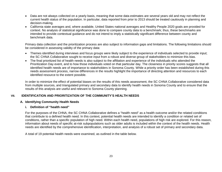- Data are not always collected on a yearly basis, meaning that some data estimates are several years old and may not reflect the current health status of the population. In particular, data reported from prior to 2013 should be treated cautiously in planning and decision-making.
- California state averages and, where available, United States national averages and Healthy People 2020 goals are provided for context. No analysis of statistical significance was done to compare county data to a benchmark; thus, these benchmarks are intended to provide contextual guidance and do not intend to imply a statistically significant difference between county and benchmark data.

Primary data collection and the prioritization process are also subject to information gaps and limitations. The following limitations should be considered in assessing validity of the primary data:

- Themes identified during interviews and focus groups were likely subject to the experience of individuals selected to provide input; the SC CHNA Collaborative sought to receive input from a robust and diverse group of stakeholders to minimize this bias.
- The final prioritized list of health needs is also subject to the affiliation and experience of the individuals who attended the Prioritization Day event, and to how those individuals voted on that particular day. The closeness in priority scores suggests that all identified health needs are of importance to stakeholders in Sonoma County. While a priority order has been established during this needs assessment process, narrow differences in the results highlight the importance of directing attention and resources to each identified resource to the extent possible.

In order to minimize the effect of potential biases on the results of this needs assessment, the SC CHNA Collaborative considered data from multiple sources, and triangulated primary and secondary data to identify health needs in Sonoma County and to ensure that the results of this analysis are useful and relevant to Sonoma County planning.

### **VII. IDENTIFICATION AND PRIORITIZATION OF THE COMMUNITY'S HEALTH NEEDS**

#### **A. Identifying Community Health Needs**

#### **i. Definition of "health need"**

For the purposes of the CHNA, the SC CHNA Collaborative defines a "health need" as a health outcome and/or the related conditions that contribute to a defined health need. In this context, potential health needs are intended to identify a condition or related set of conditions, rather than a specific population of high need. Within each health need, populations of high risk are explored. For this reason, information about needs of specific at-risk subpopulations such as older adults is included within the context of the health needs. Health needs are identified by the comprehensive identification, interpretation, and analysis of a robust set of primary and secondary data.

<span id="page-23-1"></span><span id="page-23-0"></span>A total of 19 potential health needs were examined, as outlined in the table below.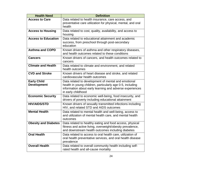| <b>Health Need</b>                       | <b>Definition</b>                                                                                                                                                                                  |
|------------------------------------------|----------------------------------------------------------------------------------------------------------------------------------------------------------------------------------------------------|
| <b>Access to Care</b>                    | Data related to health insurance, care access, and<br>preventative care utilization for physical, mental, and oral<br>health                                                                       |
| <b>Access to Housing</b>                 | Data related to cost, quality, availability, and access to<br>housing                                                                                                                              |
| <b>Access to Education</b>               | Data related to educational attainment and academic<br>success, from preschool through post-secondary<br>education                                                                                 |
| <b>Asthma and COPD</b>                   | Known drivers of asthma and other respiratory diseases,<br>and health outcomes related to these conditions                                                                                         |
| <b>Cancers</b>                           | Known drivers of cancers, and health outcomes related to<br>cancers                                                                                                                                |
| <b>Climate and Health</b>                | Data related to climate and environment, and related<br>health outcomes                                                                                                                            |
| <b>CVD and Stroke</b>                    | Known drivers of heart disease and stroke, and related<br>cardiovascular health outcomes                                                                                                           |
| <b>Early Child</b><br><b>Development</b> | Data related to development of mental and emotional<br>health in young children, particularly age 0-5, including<br>information about early learning and adverse experiences<br>in early childhood |
| <b>Economic Security</b>                 | Data related to economic well-being, food insecurity, and<br>drivers of poverty including educational attainment                                                                                   |
| <b>HIV/AIDS/STD</b>                      | Known drivers of sexually transmitted infections including<br>HIV, and related STD and AIDS outcomes                                                                                               |
| <b>Mental Health</b>                     | Data related to mental health and well-being, access to<br>and utilization of mental health care, and mental health<br>outcomes                                                                    |
| <b>Obesity and Diabetes</b>              | Data related to healthy eating and food access, physical<br>fitness and active living, overweight/obesity prevalence,<br>and downstream health outcomes including diabetes                         |
| <b>Oral Health</b>                       | Data related to access to oral health care, utilization of<br>oral health preventative services, and oral health disease<br>prevalence                                                             |
| <b>Overall Health</b>                    | Data related to overall community health including self-<br>rated health and all-cause mortality                                                                                                   |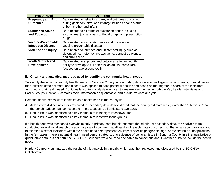| <b>Health Need</b>                                      | <b>Definition</b>                                                                                                                                    |
|---------------------------------------------------------|------------------------------------------------------------------------------------------------------------------------------------------------------|
| <b>Pregnancy and Birth</b><br><b>Outcomes</b>           | Data related to behaviors, care, and outcomes occurring<br>during gestation, birth, and infancy; includes health status<br>of both mother and infant |
| <b>Substance Abuse</b><br>and Tobacco                   | Data related to all forms of substance abuse including<br>alcohol, marijuana, tobacco, illegal drugs, and prescription<br>drugs                      |
| <b>Vaccine-Preventable</b><br><b>Infectious Disease</b> | Data related to vaccination rates and prevalence of<br>vaccine-preventable disease                                                                   |
| <b>Violence and Injury</b>                              | Data related to intended and unintended injury such as<br>violent crime, motor vehicle accidents, domestic violence,<br>and child abuse              |
| <b>Youth Growth and</b><br><b>Development</b>           | Data related to supports and outcomes affecting youth<br>ability to develop to full potential as adults, particularly<br>focused on adolescent youth |

#### **ii. Criteria and analytical methods used to identify the community health needs**

To identify the list of community health needs for Sonoma County, all secondary data were scored against a benchmark, in most cases the California state estimate, and a score was applied to each potential health need based on the aggregate score of the indicators assigned to that health need. Additionally, content analysis was used to analyze key themes in both the Key Leader Interviews and Focus Groups. Section V contains more information on quantitative and qualitative data analysis.

Potential health needs were identified as a health need in the county if:

- d. At least two distinct indicators reviewed in secondary data demonstrated that the county estimate was greater than 1% "worse" than the benchmark comparison estimate (in most cases, California state average);
- e. Health issue was identified as a key theme in at least eight interviews; and
- f. Health issue was identified as a key theme in at least two focus groups.

If a health need was mentioned overwhelmingly in primary data but did not meet the criteria for secondary data, the analysis team conducted an additional search of secondary data to confirm that all valid and reliable data concurred with the initial secondary data and to examine whether indicators within the health need disproportionately impact specific geographic, age, or racial/ethnic subpopulations. In the few cases where a potential health need demonstrated strong evidence of being an issue in Sonoma County in either qualitative or quantitative data, but not both, the SC CHNA Collaborative discussed and came to consensus about whether or not to include the health need.

Harder+Company summarized the results of this analysis in a matrix, which was then reviewed and discussed by the SC CHNA Collaborative.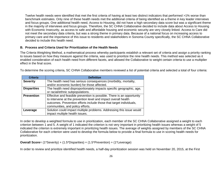Twelve health needs were identified that met the first criteria of having at least two distinct indicators that performed >1% worse than benchmark estimates. Only nine of these health needs met the additional criteria of being identified as a theme in key leader interviews and focus groups. One additional health need, Access to Housing, did not have a high secondary data score but was a significant theme in the majority of interviews and focus groups. Therefore, the SC CHNA Collaborative decided to include data about Access to Housing with Economic Insecurity, as access to safe and affordable housing and economic security are very closely linked. Access to Care did not meet the secondary data criteria, but was a strong theme in primary data. Because of a national focus on increasing access to primary care and the importance of this issue to residents and stakeholders in Sonoma County specifically, the SC CHNA Collaborative decided to include this health need.

#### **B. Process and Criteria Used for Prioritization of the Health Needs**

The Criteria Weighting Method, a mathematical process whereby participants establish a relevant set of criteria and assign a priority ranking to issues based on how they measure against the criteria, was used to prioritize the nine health needs. This method was selected as it enabled consideration of each health need from different facets, and allowed the Collaborative to weight certain criteria to use a multiplier effect in the final score.

To determine the scoring criteria, SC CHNA Collaborative members reviewed a list of potential criteria and selected a total of four criteria:

<span id="page-26-0"></span>

| <b>Criteria</b>    | <b>Definition</b>                                                                                                                                                                                                                                   |
|--------------------|-----------------------------------------------------------------------------------------------------------------------------------------------------------------------------------------------------------------------------------------------------|
| <b>Severity</b>    | The health need has serious consequences (morbidity, mortality,<br>and/or economic burden) for those affected.                                                                                                                                      |
| <b>Disparities</b> | The health need disproportionately impacts specific geographic, age,<br>or racial/ethnic subpopulations.                                                                                                                                            |
| <b>Prevention</b>  | Effective and feasible prevention is possible. There is an opportunity<br>to intervene at the prevention level and impact overall health<br>outcomes. Prevention efforts include those that target individuals,<br>communities, and policy efforts. |
| Leverage           | Solution could impact multiple problems. Addressing this issue would<br>impact multiple health issues.                                                                                                                                              |

In order to develop a weighted formula to use in prioritization, each member of the SC CHNA Collaborative assigned a weight to each criterion between 1 and 5. A weight of 1 indicated the criterion is not very important in prioritizing health issues whereas a weight of 5 indicated the criterion is extremely important in prioritizing health issues. The average of weights assigned by members of the SC CHNA Collaborative for each criterion were used to develop the formula below to provide a final formula to use in scoring health needs for prioritization.

**Overall Score**= (1\*Severity) + (1.5\*Disparities) + (1.5\*Prevention) + (1\*Leverage)

In order to review and prioritize identified health needs, a half-day prioritization session was held on November 20, 2015, at the First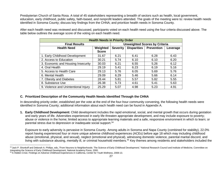Presbyterian Church of Santa Rosa. A total of 45 stakeholders representing a breadth of sectors such as health, local government, education, early childhood, public safety, faith-based, and nonprofit leaders attended. The goals of the meeting were to: review health needs identified in Sonoma County; discuss key findings from the CHNA; and prioritize health needs in Sonoma County.

<span id="page-27-2"></span><span id="page-27-1"></span>

| <b>Health Needs in Priority Order</b> |                                      |                 |             |                   |          |
|---------------------------------------|--------------------------------------|-----------------|-------------|-------------------|----------|
| <b>Final Results</b>                  | <b>Unweighted Scores by Criteria</b> |                 |             |                   |          |
| <b>Health Need</b>                    | Weighted                             | <b>Severity</b> | Disparities | <b>Prevention</b> | Leverage |
|                                       | <b>Score</b>                         |                 |             |                   |          |
| 1. Early Childhood Development        | 31.67                                | 6.21            | 6.41        | 6.28              | 6.43     |
| 2. Access to Education                | 30.21                                | 5.74            | 6.10        | 6.10              | 6.20     |
| 3. Economic and Housing Insecurity    | 30.03                                | 6.21            | 6.55        | 5.26              | 6.12     |
| 4. Oral Health                        | 29.19                                | 5.41            | 6.23        | 6.19              | 5.16     |
| 5. Access to Health Care              | 29.13                                | 5.76            | 6.05        | 5.69              | 5.76     |
| 6. Mental Health                      | 29.09                                | 6.29            | 5.46        | 5.66              | 6.14     |
| 7. Obesity and Diabetes               | 28.44                                | 5.81            | 5.57        | 5.82              | 5.55     |
| 8. Substance Use                      | 26.38                                | 5.73            | 4.61        | 5.41              | 5.63     |
| 9. Violence and Unintentional Injury  | 25.29                                | 5.07            | 4.98        | 5.23              | 4.91     |

After each health need was reviewed and discussed, participants voted on each health need using the four criteria discussed above. The table below outlines the average score of the voting on each health need.

### **C. Prioritized Description of the Community Health Needs Identified Through the CHNA**

In descending priority order, established per the vote at the end of the four-hour community convening, the following health needs were identified in Sonoma County; additional information about each health need can be found in Appendix A.

**1. Early Childhood Development:** Child development includes the rapid emotional, social, and mental growth that occurs during gestation and early years of life. Adversities experienced in early life threaten appropriate development, and may include exposure to poverty; abuse or violence in the home; limited access to appropriate learning materials and a safe, responsive environment in which to learn; or parental stress due to depression or inadequate social support.[54](#page-27-1)

Exposure to early adversity is pervasive in Sonoma County. Among adults in Sonoma and Napa County (combined for stability), 22.0% report having experienced four or more unique adverse childhood experiences (ACEs) before age 18 which may including childhood abuse (emotional, physical, and sexual), neglect (emotional and physical), witnessing domestic violence, parental marital discord, and living with substance abusing, mentally ill, or criminal household members.<sup>[55](#page-27-2)</sup> Key themes among residents and stakeholders included the

 $\overline{\phantom{a}}$ 

<span id="page-27-0"></span><sup>54</sup> Jack P. Shonkoff and Deborah A. Phillips, eds.,"From Neurons to Neighborhoods: The Science of Early Childhood Development," National Research Council and Institute of Medicine, Committee on Integrating the Science of Early Childhood Development, National Academy Press, 2000.

<sup>55</sup> A Hidden Crisis: Findings on Adverse Childhood Experiences in California, Center for Youth Wellness, 2008-13.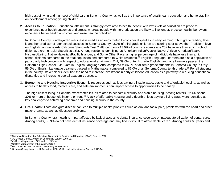<span id="page-28-5"></span><span id="page-28-4"></span><span id="page-28-3"></span><span id="page-28-2"></span><span id="page-28-1"></span><span id="page-28-0"></span>high cost of living and high cost of child care in Sonoma County, as well as the importance of quality early education and home stability on development among young children.

**2. Access to Education:** Educational attainment is strongly correlated to health: people with low levels of education are prone to experience poor health outcomes and stress, whereas people with more education are likely to live longer, practice healthy behaviors, experience better health outcomes, and raise healthier children.

In Sonoma County, Kindergarten readiness is used as an early metric to consider disparities in early learning. Third grade reading level is another predictor of later school success; in Sonoma County 43.0% of third grade children are scoring at or above the "Proficient" level on English Language Arts California Standards Test.<sup>[56](#page-28-0)</sup> Although only 13.0% of county residents age 25+ have less than a high school diploma, extreme racial disparities exist. Among residents identifying as American Indian/Alaska Native, African American/Black, Hispanic/Latino, Native Hawaiian/Pacific Islander, and Some Other Race, a higher percentage of individuals have less than a high school diploma compared to the total population and compared to White residents.<sup>[57](#page-28-1)</sup> English Language Learners are also a population of particularly high concern with respect to educational attainment. Only 39.0% of tenth grade English Language Learners passed the California High School Exit Exam in English Language Arts, compared to 86.0% of all tenth grade students in Sonoma County. [58](#page-28-2) Only 55.0% of English Language Learners passed in Mathematics, compared to 87.0% of all Sonoma County tenth graders.<sup>[59](#page-28-3)</sup> For all students in the county, stakeholders identified the need to increase investment in early childhood education as a pathway to reducing educational disparities and increasing overall academic success.

**3. Economic and Housing Insecurity:** Economic resources such as jobs paying a livable wage, stable and affordable housing, as well as access to healthy food, medical care, and safe environments can impact access to opportunities to be healthy.

The high cost of living in Sonoma exacerbates issues related to economic security and stable housing. Among renters, 52.4% spend 30% or more of household income on rent.<sup>[60](#page-28-4)</sup> A lack of affordable housing and a dearth of jobs paying a living wage were identified as key challenges to achieving economic and housing security in the county.

**4. Oral Health:** Tooth and gum disease can lead to multiple health problems such as oral and facial pain, problems with the heart and other major organs, as well as digestion problems.

In Sonoma County, oral health is in part affected by lack of access to dental insurance coverage or inadequate utilization of dental care. Among adults, 38.9% do not have dental insurance coverage and may find it difficult to afford dental care.<sup>[61](#page-28-5)</sup> Among adults 65 years and

<sup>56</sup> California Department of Education, Standardized Testing and Reporting (STAR) Results, 2013. l

<sup>57</sup> US Census Bureau, American Community Survey, 2009-13.

<sup>58</sup> California Department of Education, 2013-14.

<sup>59</sup> California Department of Education, 2013-14.

<sup>60</sup> US Census Bureau, American Community Survey, 2014.

<sup>61</sup> Sonoma County Local Health Department File, California Health Interview Survey, 2013-14.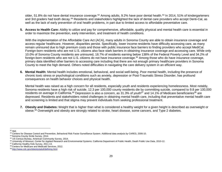<span id="page-29-7"></span><span id="page-29-6"></span><span id="page-29-5"></span><span id="page-29-4"></span><span id="page-29-3"></span><span id="page-29-2"></span><span id="page-29-1"></span><span id="page-29-0"></span>older, 51.8% do not have dental insurance coverage.<sup>[62](#page-29-0)</sup> Among adults, 9.2% have poor dental health.<sup>[63](#page-29-1)</sup> In 2014, 51% of kindergarteners and 3rd graders had tooth decay.<sup>[64](#page-29-2)</sup> Residents and stakeholders highlighted the lack of dental care providers who accept Denti-Cal, as well as the lack of early prevention of oral health problems, in part due to limited access to affordable preventative care.

**5. Access to Health Care:** Ability to utilize and pay for comprehensive, affordable, quality physical and mental health care is essential in order to maximize the prevention, early intervention, and treatment of health conditions.

With the implementation of the Affordable Care Act (ACA), many adults in Sonoma County are able to obtain insurance coverage and access regular healthcare. However, disparities persist. Specifically, lower income residents have difficulty accessing care, as many remain uninsured due to high premium costs and those with public insurance face barriers to finding providers who accept MediCal. Foreign-born residents who are not U.S. citizens also face stark barriers in obtaining insurance coverage and accessing care. While only 10.0% of Sonoma County residents are uninsured, 18.7% of residents earning below 138% of the Federal Poverty Level and 34.2% of foreign-born residents who are not U.S. citizens do not have insurance coverage.<sup>[65](#page-29-3)</sup> Among those who do have insurance coverage, primary data identified other barriers to accessing care including that there are not enough primary healthcare providers in Sonoma County to meet the high demand. Others noted difficulties in navigating the care delivery system in an efficient way.

**6. Mental Health:** Mental health includes emotional, behavioral, and social well-being. Poor mental health, including the presence of chronic toxic stress or psychological conditions such as anxiety, depression or Post-Traumatic Stress Disorder, has profound consequences on health behavior choices and physical health.

Mental health was raised as a high concern for all residents, especially youth and residents experiencing homelessness. Most notably, Sonoma residents have a high risk of suicide. 12.3 per 100,000 county residents die by committing suicide, compared to 9.8 per 100,000 residents on average in California.<sup>[66](#page-29-4)</sup> Depression is also a concern, as 31.3% of youth<sup>[67](#page-29-5)</sup> and 14.1% of Medicare beneficiaries<sup>[68](#page-29-6)</sup> are depressed. Residents and stakeholders noted challenges in obtaining mental health care, including that preventative mental health care and screening is limited and that stigma may prevent individuals from seeking professional treatment.

**7. Obesity and Diabetes:** Weight that is higher than what is considered a healthy weight for a given height is described as overweight or obese.<sup>[69](#page-29-7)</sup> Overweight and obesity are strongly related to stroke, heart disease, some cancers, and Type 2 diabetes.

l

 $62$  Ibid.

<sup>63</sup> Centers for Disease Control and Prevention, Behavioral Risk Factor Surveillance System. Additional data analysis by CARES, 2006-10.

<sup>&</sup>lt;sup>64</sup> Sonoma County Smile Survey, 2014.

<sup>65</sup> US Census Bureau, American Community Survey, 2014.

<sup>&</sup>lt;sup>66</sup> University of Missouri, Center for Applied Research and Environmental Systems. California Department of Public Health, Death Public Use Data, 2010-12.

<sup>&</sup>lt;sup>67</sup> California Healthy Kids Survey, 2011-13.

<sup>68</sup> Centers for Medicare and Medicaid Services, 2012.

<sup>69</sup> <http://www.cdc.gov/obesity/adult/defining.html>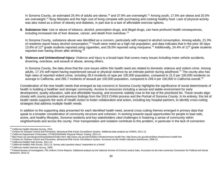<span id="page-30-8"></span><span id="page-30-7"></span><span id="page-30-6"></span><span id="page-30-5"></span><span id="page-30-4"></span><span id="page-30-3"></span><span id="page-30-2"></span><span id="page-30-1"></span><span id="page-30-0"></span>In Sonoma County, an estimated 25.4% of adults are obese,<sup>[70](#page-30-0)</sup> and 37.9% are overweight.<sup>[71](#page-30-1)</sup> Among youth, 17.5% are obese and 20.0% are overweight.<sup>[72](#page-30-2)</sup> Busy lifestyles and the high cost of living compete with purchasing and cooking healthy food. Lack of physical activity was also noted as a driver of obesity and diabetes, in part due to a lack of affordable exercise options.

**8. Substance Use**: Use or abuse of tobacco, alcohol, prescription drugs, and illegal drugs, can have profound health consequences, including increased risk of liver disease, cancer, and death from overdose.[73](#page-30-3)

In Sonoma County, substance abuse was identified as a concern, particularly with respect to alcohol consumption. Among adults, 21.3% of residents report heavy alcohol consumption.<sup>[74](#page-30-4)</sup> Youth were noted as a high risk population, and data indicates that in the prior 30 days 13.8% of 11<sup>th</sup> grade students reported using cigarettes, and 28.0% reported using marijuana.<sup>[75](#page-30-5)</sup> Additionally, 24.4% of 11<sup>th</sup> grade students reported ever having driven after drinking.<sup>[76](#page-30-6)</sup>

**9. Violence and Unintentional Injury:** Violence and injury is a broad topic that covers many issues including motor vehicle accidents, drowning, overdose, and assault or abuse, among others.

In Sonoma County, the data show that the core issues within this health need are related to domestic violence and violent crime. Among adults, 17.1% self-report having experienced sexual or physical violence by an intimate partner during adulthood.<sup>[77](#page-30-7)</sup> The county also has high rates of reported violent crime, including 28.4 incidents of rape per 100,000 population, compared to 21.0 per 100,000 residents on average in California, and 285.7 incidents of assault per 100,000 population, compared to 249.4 per 100,000 in California overall.<sup>[78](#page-30-8)</sup>

Consideration of the nine health needs that emerged as top concerns in Sonoma County highlights the significance of social determinants of health in building a healthier and stronger community. Access to resources including a secure and stable environment for early development, quality education, safe and affordable housing, and economic stability rose to the top of the prioritized list. These results align closely with county priorities and previous findings from the 2013 CHNA process and the *Portrait of Sonoma County*. In its entirety, this list of health needs supports the work of Health Action to foster collaboration and action, including key hospital partners, to identify cross-cutting strategies that address multiple health needs.

In addition to the supporting data presented for each identified health need, several cross-cutting themes emerged in primary data that speak to a broader consideration of community structure and cohesion. In working towards equal opportunities for people to lead safe, active, and healthy lifestyles, Sonoma residents and key stakeholders cited challenges in fostering a sense of community within neighborhoods and across the county. Poor transportation and isolation contribute to this problem, in particular in the lack of connection

l

<sup>70</sup> California Health Interview Survey, 2014.

<sup>71</sup> Centers for Disease Control and Prevention, Behavioral Risk Factor Surveillance System. Additional data analysis by CARES, 2011-12.

<sup>72</sup> California Department of Education, FITNESSGRAM® Physical Fitness Testing, 2013-14.

<sup>&</sup>lt;sup>73</sup> [http://www.cdc.gov/drugoverdose/epidemic/index.html;](http://www.cdc.gov/drugoverdose/epidemic/index.html) [http://www.cdc.gov/alcohol/fact-sheets/womens-health.htm;](http://www.cdc.gov/alcohol/fact-sheets/womens-health.htm) http://www.cdc.gov/alcohol/fact-sheets/mens-health.htm

<sup>74</sup> Centers for Disease Control and Prevention, Behavioral Risk Factor Surveillance System. Accessed via the Health Indicators Warehouse, 2006-12.

<sup>&</sup>lt;sup>75</sup> California Healthy Kids Survey, 2011-13.

 $76$  California Healthy Kids Survey, 2011-13. Survey asks question about "respondent or a friend."

<sup>77</sup> California Health Interview Survey, 2009.

<sup>&</sup>lt;sup>78</sup> Federal Bureau of Investigation, FBI Uniform Crime Reports. Additional analysis by the National Archive of Criminal Justice Data. Accessed via the Inter-university Consortium for Political and Social Research, 2010-12.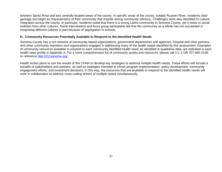between Santa Rosa and less centrally-located areas of the county. In specific areas of the county, notably Russian River, residents cited garbage and blight as characteristics of their community that impede strong community vibrancy. Challenges were also identified in cultural integration across the county. In particular, residents noted that there is a strong Latino community in Sonoma County, yet it exists in social isolation from other cultures. Some interviewees and focus group participants felt that the community as a whole has not succeeded in integrating different cultures in part because of segregation in schools.

#### **D. Community Resources Potentially Available to Respond to the Identified Health Needs**

Sonoma County has a rich network of community-based organizations, government departments and agencies, hospital and clinic partners, and other community members and organizations engaged in addressing many of the health needs identified by this assessment. Examples of community resources available to respond to each community identified health need, as identified in qualitative data, are indicated in each health need profile in Appendix A. For a more comprehensive list of community assets and resources, please call 2-1-1 OR 707-565-2108, or reference [http://211sonoma.org/.](http://211sonoma.org/)

<span id="page-31-0"></span>Health Action plans to use the results of this CHNA to develop key strategies to address multiple health needs. These efforts will include a breadth of stakeholders and partners, as well as strategies intended to inform program implementation, policy development, community engagement efforts, and investment decisions. In this way, the resources that are available to respond to the identified health needs will work in collaboration to address cross-cutting drivers of multiple needs simultaneously.